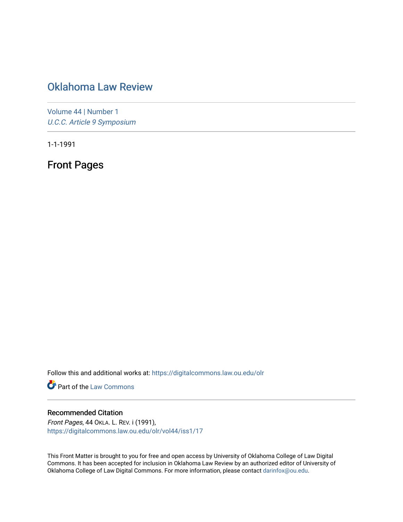### [Oklahoma Law Review](https://digitalcommons.law.ou.edu/olr)

[Volume 44](https://digitalcommons.law.ou.edu/olr/vol44) | [Number 1](https://digitalcommons.law.ou.edu/olr/vol44/iss1)  [U.C.C. Article 9 Symposium](https://digitalcommons.law.ou.edu/olr/vol44/iss1) 

1-1-1991

Front Pages

Follow this and additional works at: [https://digitalcommons.law.ou.edu/olr](https://digitalcommons.law.ou.edu/olr?utm_source=digitalcommons.law.ou.edu%2Folr%2Fvol44%2Fiss1%2F17&utm_medium=PDF&utm_campaign=PDFCoverPages)

**Part of the [Law Commons](http://network.bepress.com/hgg/discipline/578?utm_source=digitalcommons.law.ou.edu%2Folr%2Fvol44%2Fiss1%2F17&utm_medium=PDF&utm_campaign=PDFCoverPages)** 

#### Recommended Citation

Front Pages, 44 OKLA. L. REV. i (1991), [https://digitalcommons.law.ou.edu/olr/vol44/iss1/17](https://digitalcommons.law.ou.edu/olr/vol44/iss1/17?utm_source=digitalcommons.law.ou.edu%2Folr%2Fvol44%2Fiss1%2F17&utm_medium=PDF&utm_campaign=PDFCoverPages) 

This Front Matter is brought to you for free and open access by University of Oklahoma College of Law Digital Commons. It has been accepted for inclusion in Oklahoma Law Review by an authorized editor of University of Oklahoma College of Law Digital Commons. For more information, please contact [darinfox@ou.edu.](mailto:darinfox@ou.edu)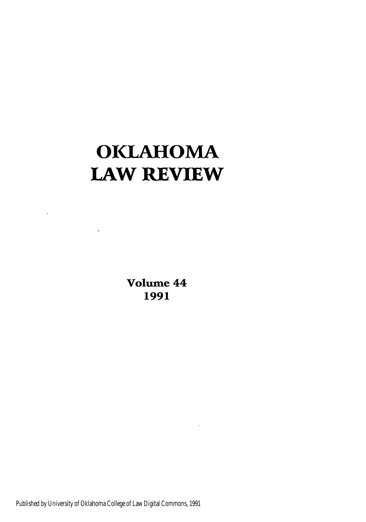# **OKLAHOMA LAW REVIEW**

Volume 44 1991

Published by University of Oklahoma College of Law Digital Commons, 1991

 $\ddot{\phantom{a}}$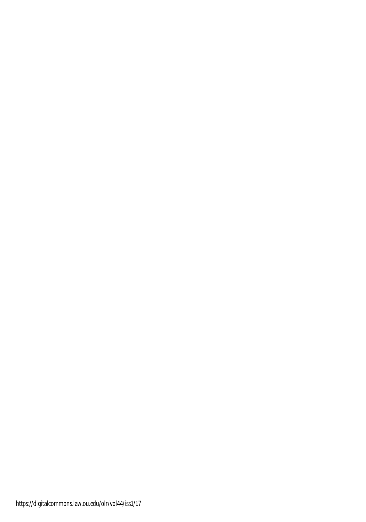https://digitalcommons.law.ou.edu/olr/vol44/iss1/17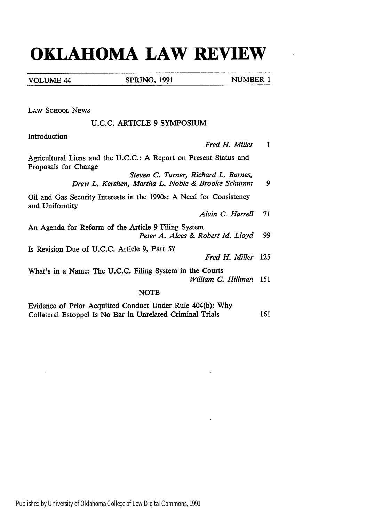## **OKLAHOMA LAW REVIEW**

VOLUME 44 SPRING, 1991 NUMBER 1

LAw **SCHOOL NEWS**

#### **U.C.C.** ARTICLE 9 **SYMPOSIUM**

Introduction

 $\bar{1}$ 

| Fred H. Miller                                                                                                   | $\blacksquare$ |
|------------------------------------------------------------------------------------------------------------------|----------------|
| Agricultural Liens and the U.C.C.: A Report on Present Status and                                                |                |
| Proposals for Change<br>Steven C. Turner, Richard L. Barnes,<br>Drew L. Kershen, Martha L. Noble & Brooke Schumm | 9              |
| Oil and Gas Security Interests in the 1990s: A Need for Consistency<br>and Uniformity                            |                |
| Alvin C. Harrell                                                                                                 | 71             |
| An Agenda for Reform of the Article 9 Filing System<br>Peter A. Alces & Robert M. Lloyd                          | 99             |
| Is Revision Due of U.C.C. Article 9, Part 5?<br>Fred H. Miller 125                                               |                |
| What's in a Name: The U.C.C. Filing System in the Courts<br>William C. Hillman 151                               |                |
|                                                                                                                  |                |

### **NOTE**

| Evidence of Prior Acquitted Conduct Under Rule 404(b): Why |     |
|------------------------------------------------------------|-----|
| Collateral Estoppel Is No Bar in Unrelated Criminal Trials | 161 |